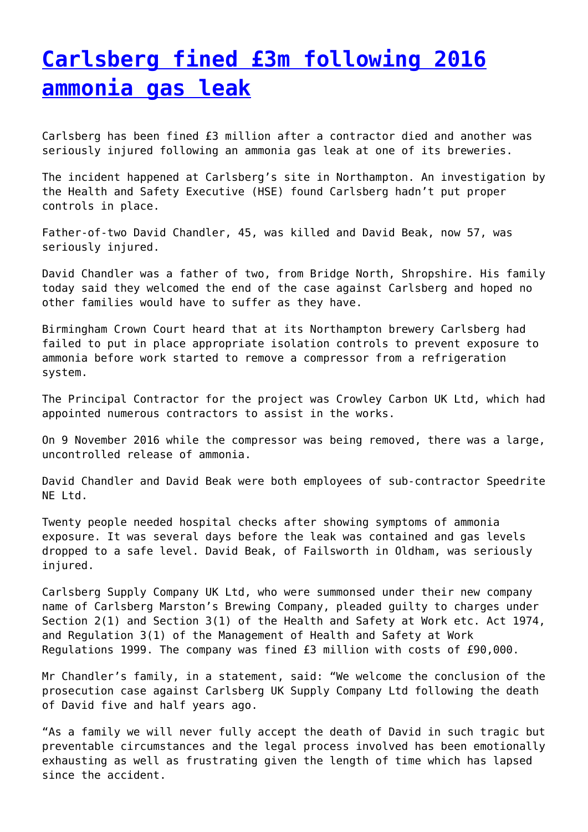### **[Carlsberg fined £3m following 2016](http://www.government-world.com/carlsberg-fined-3m-following-2016-ammonia-gas-leak/) [ammonia gas leak](http://www.government-world.com/carlsberg-fined-3m-following-2016-ammonia-gas-leak/)**

Carlsberg has been fined £3 million after a contractor died and another was seriously injured following an ammonia gas leak at one of its breweries.

The incident happened at Carlsberg's site in Northampton. An investigation by the Health and Safety Executive (HSE) found Carlsberg hadn't put proper controls in place.

Father-of-two David Chandler, 45, was killed and David Beak, now 57, was seriously injured.

David Chandler was a father of two, from Bridge North, Shropshire. His family today said they welcomed the end of the case against Carlsberg and hoped no other families would have to suffer as they have.

Birmingham Crown Court heard that at its Northampton brewery Carlsberg had failed to put in place appropriate isolation controls to prevent exposure to ammonia before work started to remove a compressor from a refrigeration system.

The Principal Contractor for the project was Crowley Carbon UK Ltd, which had appointed numerous contractors to assist in the works.

On 9 November 2016 while the compressor was being removed, there was a large, uncontrolled release of ammonia.

David Chandler and David Beak were both employees of sub-contractor Speedrite NE Ltd.

Twenty people needed hospital checks after showing symptoms of ammonia exposure. It was several days before the leak was contained and gas levels dropped to a safe level. David Beak, of Failsworth in Oldham, was seriously injured.

Carlsberg Supply Company UK Ltd, who were summonsed under their new company name of Carlsberg Marston's Brewing Company, pleaded guilty to charges under Section 2(1) and Section 3(1) of the Health and Safety at Work etc. Act 1974, and Regulation 3(1) of the Management of Health and Safety at Work Regulations 1999. The company was fined £3 million with costs of £90,000.

Mr Chandler's family, in a statement, said: "We welcome the conclusion of the prosecution case against Carlsberg UK Supply Company Ltd following the death of David five and half years ago.

"As a family we will never fully accept the death of David in such tragic but preventable circumstances and the legal process involved has been emotionally exhausting as well as frustrating given the length of time which has lapsed since the accident.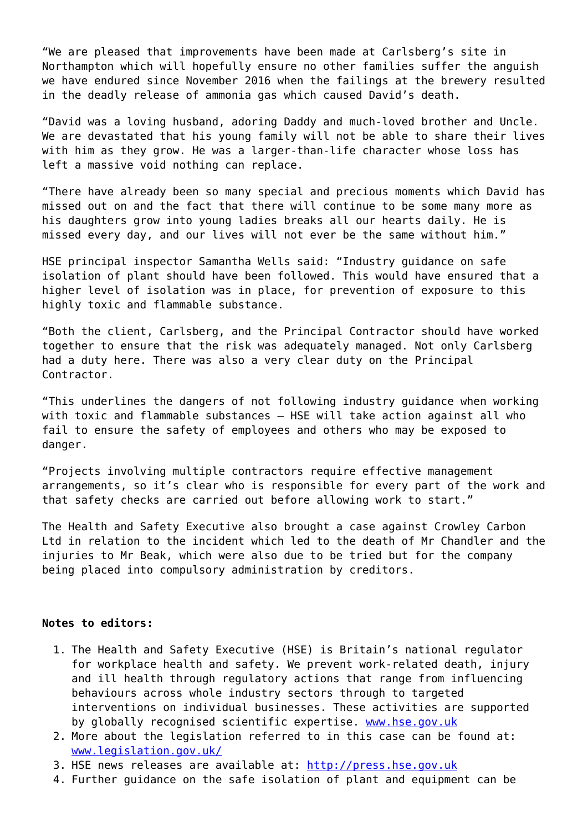"We are pleased that improvements have been made at Carlsberg's site in Northampton which will hopefully ensure no other families suffer the anguish we have endured since November 2016 when the failings at the brewery resulted in the deadly release of ammonia gas which caused David's death.

"David was a loving husband, adoring Daddy and much-loved brother and Uncle. We are devastated that his young family will not be able to share their lives with him as they grow. He was a larger-than-life character whose loss has left a massive void nothing can replace.

"There have already been so many special and precious moments which David has missed out on and the fact that there will continue to be some many more as his daughters grow into young ladies breaks all our hearts daily. He is missed every day, and our lives will not ever be the same without him."

HSE principal inspector Samantha Wells said: "Industry guidance on safe isolation of plant should have been followed. This would have ensured that a higher level of isolation was in place, for prevention of exposure to this highly toxic and flammable substance.

"Both the client, Carlsberg, and the Principal Contractor should have worked together to ensure that the risk was adequately managed. Not only Carlsberg had a duty here. There was also a very clear duty on the Principal Contractor.

"This underlines the dangers of not following industry guidance when working with toxic and flammable substances – HSE will take action against all who fail to ensure the safety of employees and others who may be exposed to danger.

"Projects involving multiple contractors require effective management arrangements, so it's clear who is responsible for every part of the work and that safety checks are carried out before allowing work to start."

The Health and Safety Executive also brought a case against Crowley Carbon Ltd in relation to the incident which led to the death of Mr Chandler and the injuries to Mr Beak, which were also due to be tried but for the company being placed into compulsory administration by creditors.

#### **Notes to editors:**

- 1. The Health and Safety Executive (HSE) is Britain's national regulator for workplace health and safety. We prevent work-related death, injury and ill health through regulatory actions that range from influencing behaviours across whole industry sectors through to targeted interventions on individual businesses. These activities are supported by globally recognised scientific expertise. [www.hse.gov.uk](http://www.hse.gov.uk/)
- 2. More about the legislation referred to in this case can be found at: [www.legislation.gov.uk/](http://www.legislation.gov.uk/)
- 3. HSE news releases are available at: [http://press.hse.gov.uk](http://press.hse.gov.uk/)
- 4. Further guidance on the safe isolation of plant and equipment can be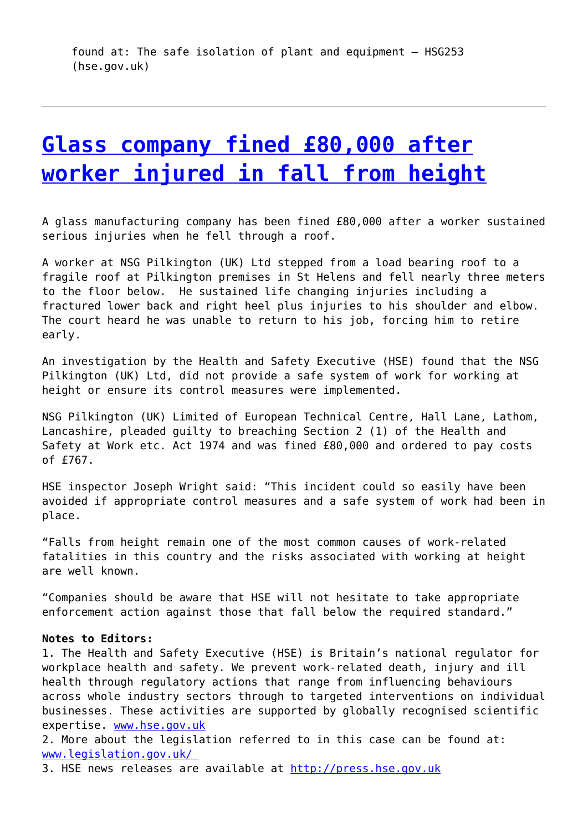# **[Glass company fined £80,000 after](http://www.government-world.com/glass-company-fined-80000-after-worker-injured-in-fall-from-height/) [worker injured in fall from height](http://www.government-world.com/glass-company-fined-80000-after-worker-injured-in-fall-from-height/)**

A glass manufacturing company has been fined £80,000 after a worker sustained serious injuries when he fell through a roof.

A worker at NSG Pilkington (UK) Ltd stepped from a load bearing roof to a fragile roof at Pilkington premises in St Helens and fell nearly three meters to the floor below. He sustained life changing injuries including a fractured lower back and right heel plus injuries to his shoulder and elbow. The court heard he was unable to return to his job, forcing him to retire early.

An investigation by the Health and Safety Executive (HSE) found that the NSG Pilkington (UK) Ltd, did not provide a safe system of work for working at height or ensure its control measures were implemented.

NSG Pilkington (UK) Limited of European Technical Centre, Hall Lane, Lathom, Lancashire, pleaded guilty to breaching Section 2 (1) of the Health and Safety at Work etc. Act 1974 and was fined £80,000 and ordered to pay costs of £767.

HSE inspector Joseph Wright said: "This incident could so easily have been avoided if appropriate control measures and a safe system of work had been in place.

"Falls from height remain one of the most common causes of work-related fatalities in this country and the risks associated with working at height are well known.

"Companies should be aware that HSE will not hesitate to take appropriate enforcement action against those that fall below the required standard."

#### **Notes to Editors:**

1. The Health and Safety Executive (HSE) is Britain's national regulator for workplace health and safety. We prevent work-related death, injury and ill health through regulatory actions that range from influencing behaviours across whole industry sectors through to targeted interventions on individual businesses. These activities are supported by globally recognised scientific expertise. [www.hse.gov.uk](http://www.hse.gov.uk/)

2. More about the legislation referred to in this case can be found at: [www.legislation.gov.uk/](http://www.legislation.gov.uk/) 

3. HSE news releases are available at [http://press.hse.gov.uk](http://press.hse.gov.uk/)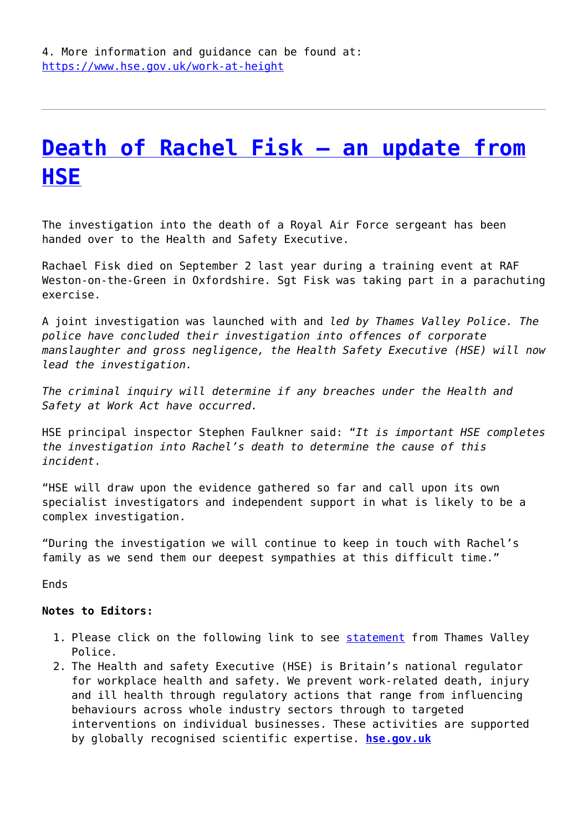# **[Death of Rachel Fisk – an update from](http://www.government-world.com/death-of-rachel-fisk-an-update-from-hse/) [HSE](http://www.government-world.com/death-of-rachel-fisk-an-update-from-hse/)**

The investigation into the death of a Royal Air Force sergeant has been handed over to the Health and Safety Executive.

Rachael Fisk died on September 2 last year during a training event at RAF Weston-on-the-Green in Oxfordshire. Sgt Fisk was taking part in a parachuting exercise.

A joint investigation was launched with and *led by Thames Valley Police. The police have concluded their investigation into offences of corporate manslaughter and gross negligence, the Health Safety Executive (HSE) will now lead the investigation.* 

*The criminal inquiry will determine if any breaches under the Health and Safety at Work Act have occurred.*

HSE principal inspector Stephen Faulkner said: "*It is important HSE completes the investigation into Rachel's death to determine the cause of this incident*.

"HSE will draw upon the evidence gathered so far and call upon its own specialist investigators and independent support in what is likely to be a complex investigation.

"During the investigation we will continue to keep in touch with Rachel's family as we send them our deepest sympathies at this difficult time."

Ends

### **Notes to Editors:**

- 1. Please click on the following link to see [statement](https://www.thamesvalley.police.uk/news/thames-valley/news/2022/june/20-06-2022/update-on-investigation-following-death-of-woman--weston-on-the-green-oxfordshire/) from Thames Valley Police.
- 2. The Health and safety Executive (HSE) is Britain's national regulator for workplace health and safety. We prevent work-related death, injury and ill health through regulatory actions that range from influencing behaviours across whole industry sectors through to targeted interventions on individual businesses. These activities are supported by globally recognised scientific expertise. **[hse.gov.uk](http://www.hse.gov.uk/)**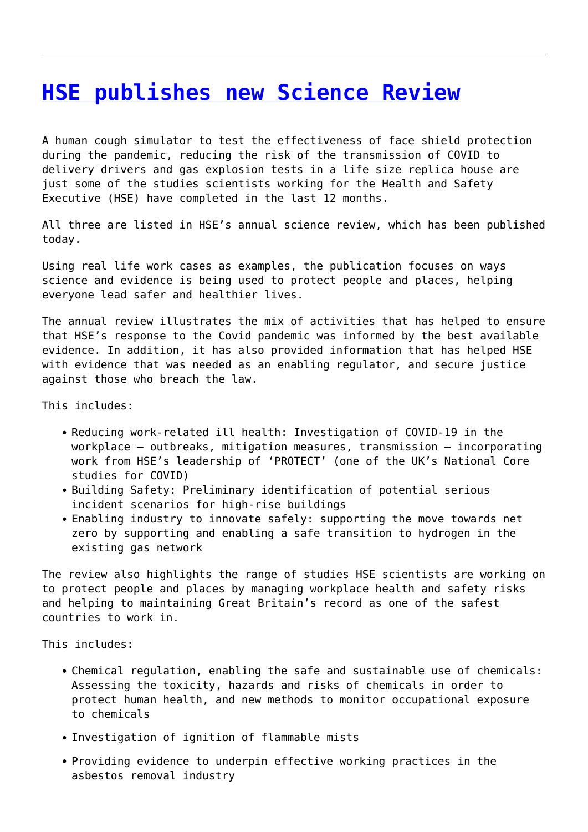### **[HSE publishes new Science Review](http://www.government-world.com/hse-publishes-new-science-review/)**

A human cough simulator to test the effectiveness of face shield protection during the pandemic, reducing the risk of the transmission of COVID to delivery drivers and gas explosion tests in a life size replica house are just some of the studies scientists working for the Health and Safety Executive (HSE) have completed in the last 12 months.

All three are listed in HSE's annual science review, which has been published today.

Using real life work cases as examples, the publication focuses on ways science and evidence is being used to protect people and places, helping everyone lead safer and healthier lives.

The annual review illustrates the mix of activities that has helped to ensure that HSE's response to the Covid pandemic was informed by the best available evidence. In addition, it has also provided information that has helped HSE with evidence that was needed as an enabling regulator, and secure justice against those who breach the law.

This includes:

- Reducing work-related ill health: Investigation of COVID-19 in the workplace – outbreaks, mitigation measures, transmission – incorporating work from HSE's leadership of 'PROTECT' (one of the UK's National Core studies for COVID)
- Building Safety: Preliminary identification of potential serious incident scenarios for high-rise buildings
- Enabling industry to innovate safely: supporting the move towards net zero by supporting and enabling a safe transition to hydrogen in the existing gas network

The review also highlights the range of studies HSE scientists are working on to protect people and places by managing workplace health and safety risks and helping to maintaining Great Britain's record as one of the safest countries to work in.

This includes:

- Chemical regulation, enabling the safe and sustainable use of chemicals: Assessing the toxicity, hazards and risks of chemicals in order to protect human health, and new methods to monitor occupational exposure to chemicals
- Investigation of ignition of flammable mists
- Providing evidence to underpin effective working practices in the asbestos removal industry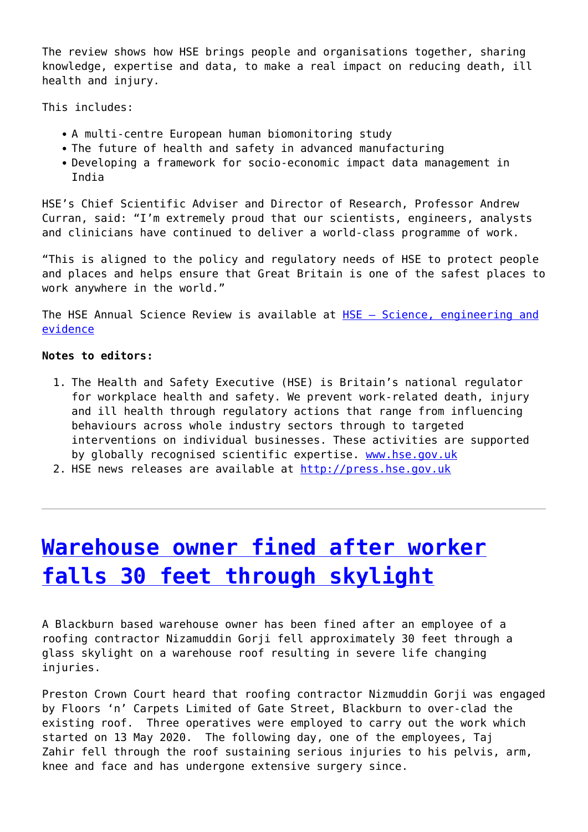The review shows how HSE brings people and organisations together, sharing knowledge, expertise and data, to make a real impact on reducing death, ill health and injury.

This includes:

- A multi-centre European human biomonitoring study
- The future of health and safety in advanced manufacturing
- Developing a framework for socio-economic impact data management in India

HSE's Chief Scientific Adviser and Director of Research, Professor Andrew Curran, said: "I'm extremely proud that our scientists, engineers, analysts and clinicians have continued to deliver a world-class programme of work.

"This is aligned to the policy and regulatory needs of HSE to protect people and places and helps ensure that Great Britain is one of the safest places to work anywhere in the world."

The HSE Annual Science Review is available at [HSE – Science, engineering and](https://www.hse.gov.uk/research/) [evidence](https://www.hse.gov.uk/research/)

### **Notes to editors:**

- 1. The Health and Safety Executive (HSE) is Britain's national regulator for workplace health and safety. We prevent work-related death, injury and ill health through regulatory actions that range from influencing behaviours across whole industry sectors through to targeted interventions on individual businesses. These activities are supported by globally recognised scientific expertise. [www.hse.gov.uk](http://www.hse.gov.uk/)
- 2. HSE news releases are available at [http://press.hse.gov.uk](http://press.hse.gov.uk/)

### **[Warehouse owner fined after worker](http://www.government-world.com/warehouse-owner-fined-after-worker-falls-30-feet-through-skylight/) [falls 30 feet through skylight](http://www.government-world.com/warehouse-owner-fined-after-worker-falls-30-feet-through-skylight/)**

A Blackburn based warehouse owner has been fined after an employee of a roofing contractor Nizamuddin Gorji fell approximately 30 feet through a glass skylight on a warehouse roof resulting in severe life changing injuries.

Preston Crown Court heard that roofing contractor Nizmuddin Gorji was engaged by Floors 'n' Carpets Limited of Gate Street, Blackburn to over-clad the existing roof. Three operatives were employed to carry out the work which started on 13 May 2020. The following day, one of the employees, Taj Zahir fell through the roof sustaining serious injuries to his pelvis, arm, knee and face and has undergone extensive surgery since.